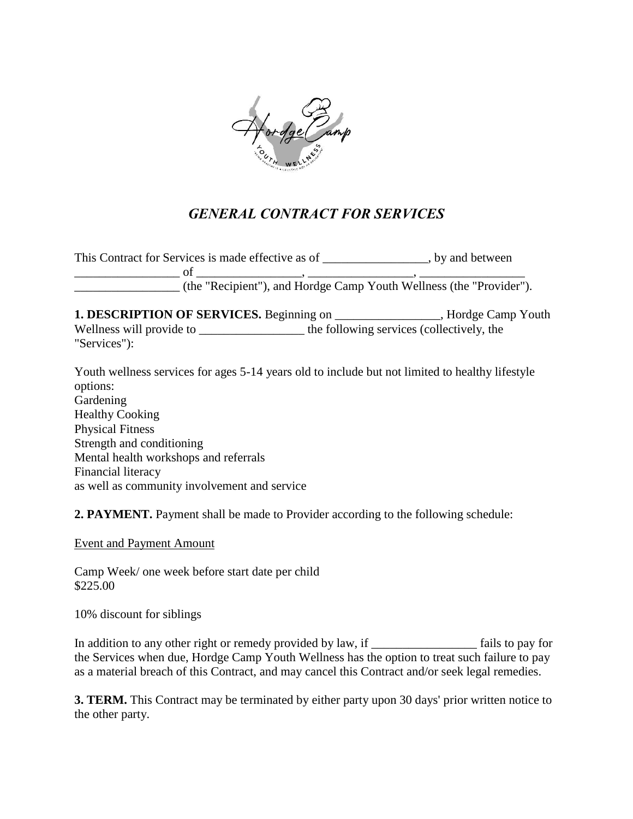

## *GENERAL CONTRACT FOR SERVICES*

| This Contract for Services is made effective as of | , by and between                                                    |
|----------------------------------------------------|---------------------------------------------------------------------|
|                                                    |                                                                     |
|                                                    | (the "Recipient"), and Hordge Camp Youth Wellness (the "Provider"). |

**1. DESCRIPTION OF SERVICES.** Beginning on \_\_\_\_\_\_\_\_\_\_\_\_\_\_\_\_\_, Hordge Camp Youth Wellness will provide to \_\_\_\_\_\_\_\_\_\_\_\_\_\_\_\_\_ the following services (collectively, the "Services"):

Youth wellness services for ages 5-14 years old to include but not limited to healthy lifestyle options: Gardening Healthy Cooking Physical Fitness Strength and conditioning Mental health workshops and referrals Financial literacy as well as community involvement and service

**2. PAYMENT.** Payment shall be made to Provider according to the following schedule:

Event and Payment Amount

Camp Week/ one week before start date per child \$225.00

10% discount for siblings

In addition to any other right or remedy provided by law, if \_\_\_\_\_\_\_\_\_\_\_\_\_\_\_\_\_ fails to pay for the Services when due, Hordge Camp Youth Wellness has the option to treat such failure to pay as a material breach of this Contract, and may cancel this Contract and/or seek legal remedies.

**3. TERM.** This Contract may be terminated by either party upon 30 days' prior written notice to the other party.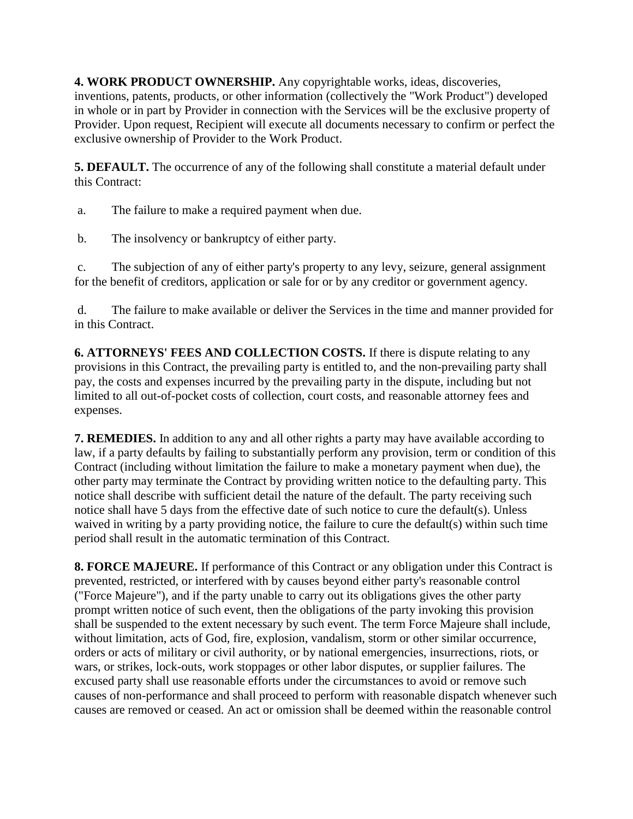**4. WORK PRODUCT OWNERSHIP.** Any copyrightable works, ideas, discoveries, inventions, patents, products, or other information (collectively the "Work Product") developed in whole or in part by Provider in connection with the Services will be the exclusive property of Provider. Upon request, Recipient will execute all documents necessary to confirm or perfect the exclusive ownership of Provider to the Work Product.

**5. DEFAULT.** The occurrence of any of the following shall constitute a material default under this Contract:

a. The failure to make a required payment when due.

b. The insolvency or bankruptcy of either party.

c. The subjection of any of either party's property to any levy, seizure, general assignment for the benefit of creditors, application or sale for or by any creditor or government agency.

d. The failure to make available or deliver the Services in the time and manner provided for in this Contract.

**6. ATTORNEYS' FEES AND COLLECTION COSTS.** If there is dispute relating to any provisions in this Contract, the prevailing party is entitled to, and the non-prevailing party shall pay, the costs and expenses incurred by the prevailing party in the dispute, including but not limited to all out-of-pocket costs of collection, court costs, and reasonable attorney fees and expenses.

**7. REMEDIES.** In addition to any and all other rights a party may have available according to law, if a party defaults by failing to substantially perform any provision, term or condition of this Contract (including without limitation the failure to make a monetary payment when due), the other party may terminate the Contract by providing written notice to the defaulting party. This notice shall describe with sufficient detail the nature of the default. The party receiving such notice shall have 5 days from the effective date of such notice to cure the default(s). Unless waived in writing by a party providing notice, the failure to cure the default(s) within such time period shall result in the automatic termination of this Contract.

**8. FORCE MAJEURE.** If performance of this Contract or any obligation under this Contract is prevented, restricted, or interfered with by causes beyond either party's reasonable control ("Force Majeure"), and if the party unable to carry out its obligations gives the other party prompt written notice of such event, then the obligations of the party invoking this provision shall be suspended to the extent necessary by such event. The term Force Majeure shall include, without limitation, acts of God, fire, explosion, vandalism, storm or other similar occurrence, orders or acts of military or civil authority, or by national emergencies, insurrections, riots, or wars, or strikes, lock-outs, work stoppages or other labor disputes, or supplier failures. The excused party shall use reasonable efforts under the circumstances to avoid or remove such causes of non-performance and shall proceed to perform with reasonable dispatch whenever such causes are removed or ceased. An act or omission shall be deemed within the reasonable control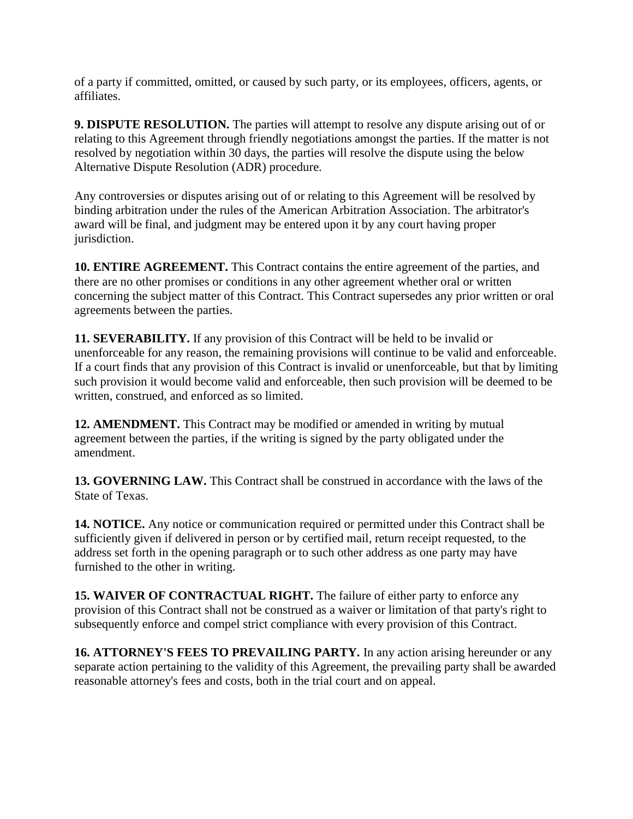of a party if committed, omitted, or caused by such party, or its employees, officers, agents, or affiliates.

**9. DISPUTE RESOLUTION.** The parties will attempt to resolve any dispute arising out of or relating to this Agreement through friendly negotiations amongst the parties. If the matter is not resolved by negotiation within 30 days, the parties will resolve the dispute using the below Alternative Dispute Resolution (ADR) procedure.

Any controversies or disputes arising out of or relating to this Agreement will be resolved by binding arbitration under the rules of the American Arbitration Association. The arbitrator's award will be final, and judgment may be entered upon it by any court having proper jurisdiction.

**10. ENTIRE AGREEMENT.** This Contract contains the entire agreement of the parties, and there are no other promises or conditions in any other agreement whether oral or written concerning the subject matter of this Contract. This Contract supersedes any prior written or oral agreements between the parties.

**11. SEVERABILITY.** If any provision of this Contract will be held to be invalid or unenforceable for any reason, the remaining provisions will continue to be valid and enforceable. If a court finds that any provision of this Contract is invalid or unenforceable, but that by limiting such provision it would become valid and enforceable, then such provision will be deemed to be written, construed, and enforced as so limited.

**12. AMENDMENT.** This Contract may be modified or amended in writing by mutual agreement between the parties, if the writing is signed by the party obligated under the amendment.

**13. GOVERNING LAW.** This Contract shall be construed in accordance with the laws of the State of Texas.

**14. NOTICE.** Any notice or communication required or permitted under this Contract shall be sufficiently given if delivered in person or by certified mail, return receipt requested, to the address set forth in the opening paragraph or to such other address as one party may have furnished to the other in writing.

**15. WAIVER OF CONTRACTUAL RIGHT.** The failure of either party to enforce any provision of this Contract shall not be construed as a waiver or limitation of that party's right to subsequently enforce and compel strict compliance with every provision of this Contract.

**16. ATTORNEY'S FEES TO PREVAILING PARTY.** In any action arising hereunder or any separate action pertaining to the validity of this Agreement, the prevailing party shall be awarded reasonable attorney's fees and costs, both in the trial court and on appeal.